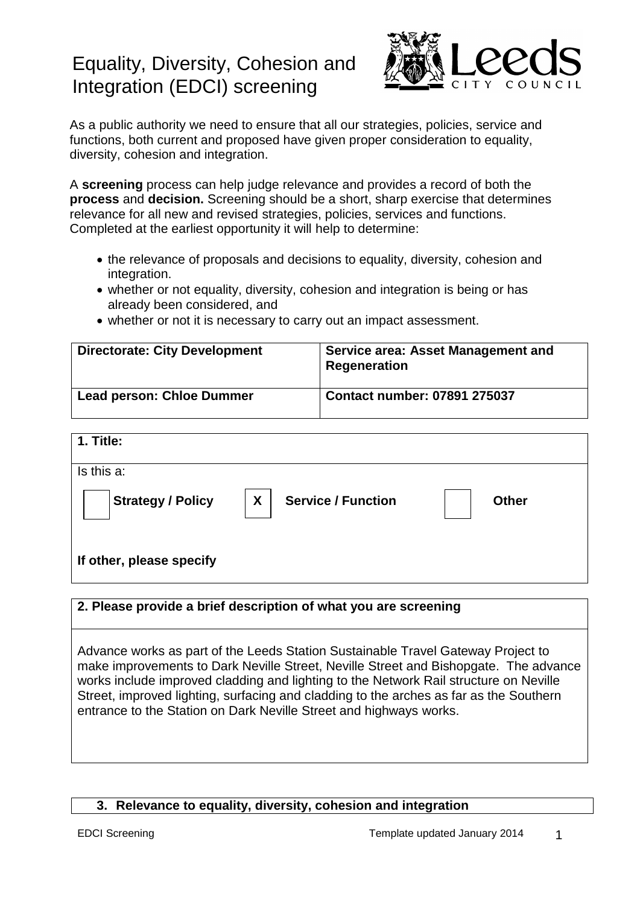# Equality, Diversity, Cohesion and Integration (EDCI) screening



As a public authority we need to ensure that all our strategies, policies, service and functions, both current and proposed have given proper consideration to equality, diversity, cohesion and integration.

A **screening** process can help judge relevance and provides a record of both the **process** and **decision.** Screening should be a short, sharp exercise that determines relevance for all new and revised strategies, policies, services and functions. Completed at the earliest opportunity it will help to determine:

- the relevance of proposals and decisions to equality, diversity, cohesion and integration.
- whether or not equality, diversity, cohesion and integration is being or has already been considered, and
- whether or not it is necessary to carry out an impact assessment.

| <b>Directorate: City Development</b> | Service area: Asset Management and<br><b>Regeneration</b> |
|--------------------------------------|-----------------------------------------------------------|
| <b>Lead person: Chloe Dummer</b>     | <b>Contact number: 07891 275037</b>                       |

| 1. Title:                |                                |              |
|--------------------------|--------------------------------|--------------|
| Is this a:               |                                |              |
| Strategy / Policy        | X<br><b>Service / Function</b> | <b>Other</b> |
| If other, please specify |                                |              |

**2. Please provide a brief description of what you are screening**

Advance works as part of the Leeds Station Sustainable Travel Gateway Project to make improvements to Dark Neville Street, Neville Street and Bishopgate. The advance works include improved cladding and lighting to the Network Rail structure on Neville Street, improved lighting, surfacing and cladding to the arches as far as the Southern entrance to the Station on Dark Neville Street and highways works.

#### **3. Relevance to equality, diversity, cohesion and integration**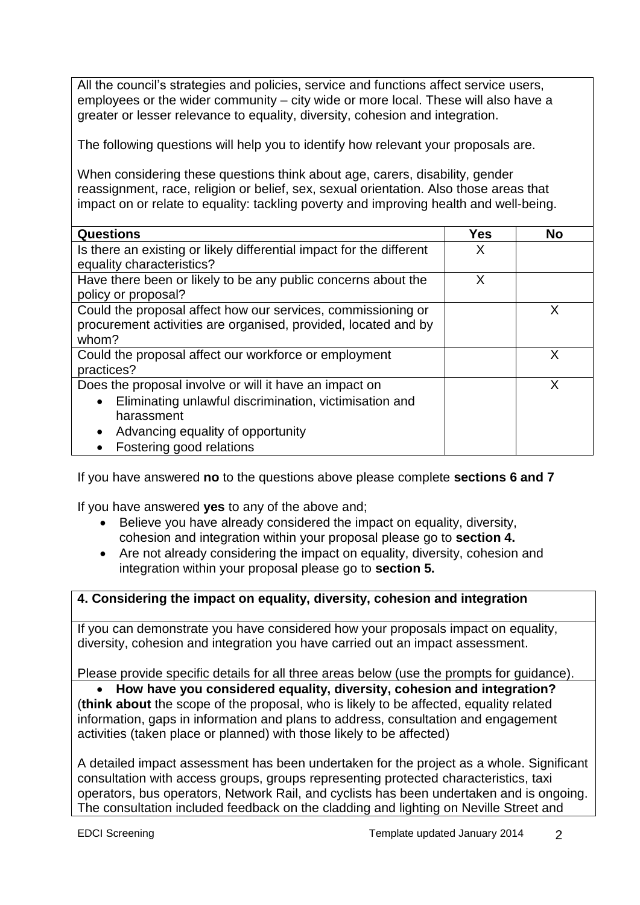All the council's strategies and policies, service and functions affect service users, employees or the wider community – city wide or more local. These will also have a greater or lesser relevance to equality, diversity, cohesion and integration.

The following questions will help you to identify how relevant your proposals are.

When considering these questions think about age, carers, disability, gender reassignment, race, religion or belief, sex, sexual orientation. Also those areas that impact on or relate to equality: tackling poverty and improving health and well-being.

| <b>Questions</b>                                                     | Yes | <b>No</b> |
|----------------------------------------------------------------------|-----|-----------|
| Is there an existing or likely differential impact for the different | x   |           |
| equality characteristics?                                            |     |           |
| Have there been or likely to be any public concerns about the        | Χ   |           |
| policy or proposal?                                                  |     |           |
| Could the proposal affect how our services, commissioning or         |     | X         |
| procurement activities are organised, provided, located and by       |     |           |
| whom?                                                                |     |           |
| Could the proposal affect our workforce or employment                |     | X         |
| practices?                                                           |     |           |
| Does the proposal involve or will it have an impact on               |     | X         |
| Eliminating unlawful discrimination, victimisation and<br>$\bullet$  |     |           |
| harassment                                                           |     |           |
| Advancing equality of opportunity<br>$\bullet$                       |     |           |
| Fostering good relations                                             |     |           |

If you have answered **no** to the questions above please complete **sections 6 and 7**

If you have answered **yes** to any of the above and;

- Believe you have already considered the impact on equality, diversity, cohesion and integration within your proposal please go to **section 4.**
- Are not already considering the impact on equality, diversity, cohesion and integration within your proposal please go to **section 5.**

## **4. Considering the impact on equality, diversity, cohesion and integration**

If you can demonstrate you have considered how your proposals impact on equality, diversity, cohesion and integration you have carried out an impact assessment.

Please provide specific details for all three areas below (use the prompts for guidance).

 **How have you considered equality, diversity, cohesion and integration?** (**think about** the scope of the proposal, who is likely to be affected, equality related information, gaps in information and plans to address, consultation and engagement activities (taken place or planned) with those likely to be affected)

A detailed impact assessment has been undertaken for the project as a whole. Significant consultation with access groups, groups representing protected characteristics, taxi operators, bus operators, Network Rail, and cyclists has been undertaken and is ongoing. The consultation included feedback on the cladding and lighting on Neville Street and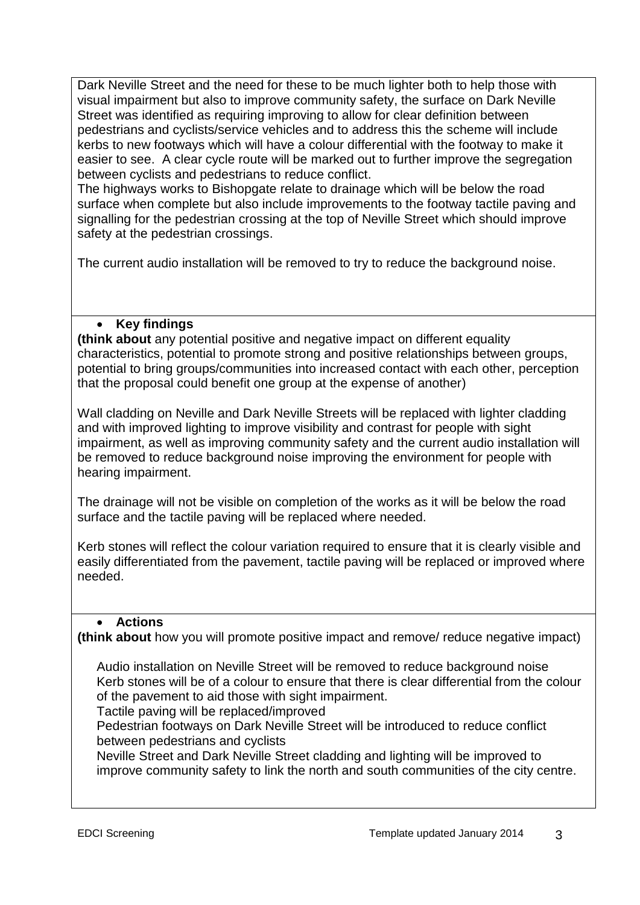Dark Neville Street and the need for these to be much lighter both to help those with visual impairment but also to improve community safety, the surface on Dark Neville Street was identified as requiring improving to allow for clear definition between pedestrians and cyclists/service vehicles and to address this the scheme will include kerbs to new footways which will have a colour differential with the footway to make it easier to see. A clear cycle route will be marked out to further improve the segregation between cyclists and pedestrians to reduce conflict.

The highways works to Bishopgate relate to drainage which will be below the road surface when complete but also include improvements to the footway tactile paving and signalling for the pedestrian crossing at the top of Neville Street which should improve safety at the pedestrian crossings.

The current audio installation will be removed to try to reduce the background noise.

## **Key findings**

**(think about** any potential positive and negative impact on different equality characteristics, potential to promote strong and positive relationships between groups, potential to bring groups/communities into increased contact with each other, perception that the proposal could benefit one group at the expense of another)

Wall cladding on Neville and Dark Neville Streets will be replaced with lighter cladding and with improved lighting to improve visibility and contrast for people with sight impairment, as well as improving community safety and the current audio installation will be removed to reduce background noise improving the environment for people with hearing impairment.

The drainage will not be visible on completion of the works as it will be below the road surface and the tactile paving will be replaced where needed.

Kerb stones will reflect the colour variation required to ensure that it is clearly visible and easily differentiated from the pavement, tactile paving will be replaced or improved where needed.

## **Actions**

**(think about** how you will promote positive impact and remove/ reduce negative impact)

Audio installation on Neville Street will be removed to reduce background noise Kerb stones will be of a colour to ensure that there is clear differential from the colour of the pavement to aid those with sight impairment.

Tactile paving will be replaced/improved

Pedestrian footways on Dark Neville Street will be introduced to reduce conflict between pedestrians and cyclists

Neville Street and Dark Neville Street cladding and lighting will be improved to improve community safety to link the north and south communities of the city centre.